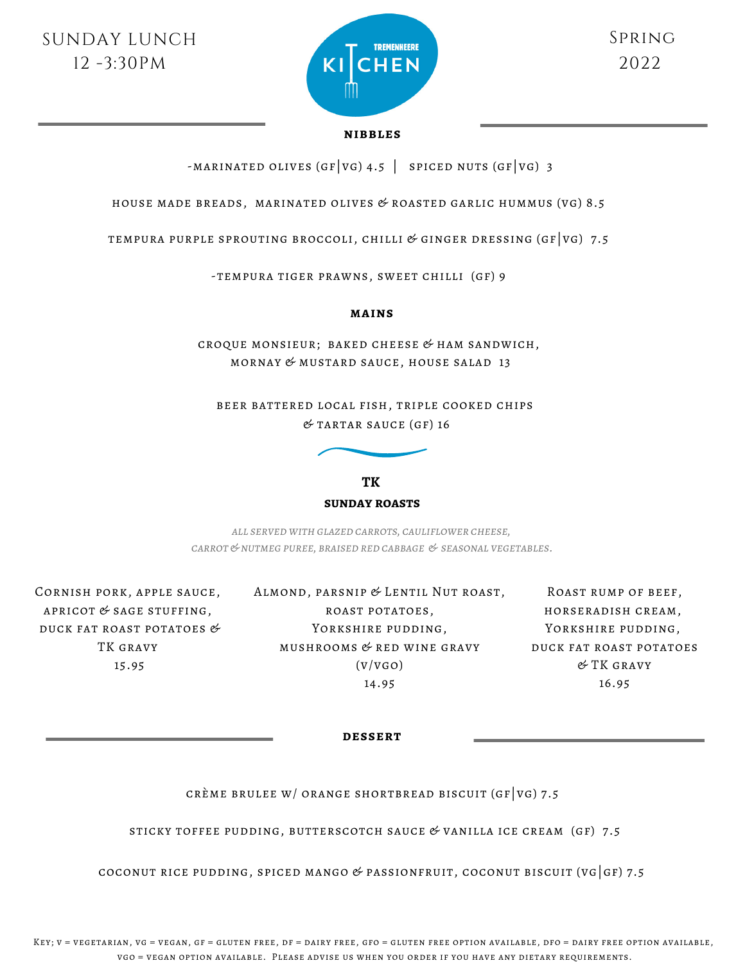

## **nibbles**

-MARINATED OLIVES (GF VG) 4.5 | SPICED NUTS (GF VG) 3

house made breads, marinated olives & roasted garlic hummus (vg) 8.5

tempura purple sprouting broccoli, chilli & ginger dressing (gf|vg) 7.5

-tempura tiger prawns, sweet chilli (gf) 9

## **mains**

croque monsieur; baked cheese & ham sandwich, mornay & mustard sauce, house salad 13

beer battered local fish, triple cooked chips  $&$  TARTAR SAUCE (GF) 16



**TK sunday roasts**

*all served with glazed carrots, cauliflower cheese, carrot&nutmeg puree, braised red cabbage & seasonal vegetables.*

Cornish pork, apple sauce, APRICOT  $&$  SAGE STUFFING, duck fat roast potatoes & TK gravy 15.95

Almond, parsnip & Lentil Nut roast, roast potatoes, YORKSHIRE PUDDING, mushrooms & red wine gravy  $(V/VGO)$ 14.95

Roast rump of beef, horseradish cream, YORKSHIRE PUDDING, duck fat roast potatoes & TK gravy 16.95

**dessert**

CRÈME BRULEE W/ ORANGE SHORTBREAD BISCUIT (GF VG) 7.5

STICKY TOFFEE PUDDING, BUTTERSCOTCH SAUCE  $&$  VANILLA ICE CREAM (GF) 7.5

coconut rice pudding, spiced mango & passionfruit, coconut biscuit (vg|gf) 7.5

Key; v = vegetarian, vg = vegan, gf = gluten free, df = dairy free, gfo = gluten free option available, dfo = dairy free option available, vgo = vegan option available. Please advise us when you order if you have any dietary requirements.